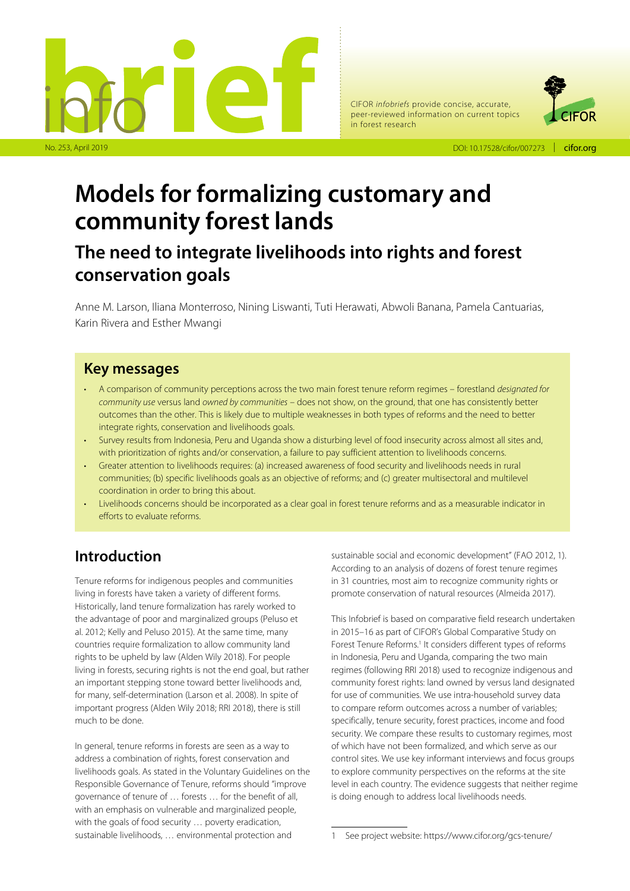

CIFOR *infobriefs* provide concise, accurate, peer-reviewed information on current topics in forest research



# **Models for formalizing customary and community forest lands**

# **The need to integrate livelihoods into rights and forest conservation goals**

Anne M. Larson, Iliana Monterroso, Nining Liswanti, Tuti Herawati, Abwoli Banana, Pamela Cantuarias, Karin Rivera and Esther Mwangi

### **Key messages**

- A comparison of community perceptions across the two main forest tenure reform regimes forestland *designated for community use* versus land *owned by communities* – does not show, on the ground, that one has consistently better outcomes than the other. This is likely due to multiple weaknesses in both types of reforms and the need to better integrate rights, conservation and livelihoods goals.
- Survey results from Indonesia, Peru and Uganda show a disturbing level of food insecurity across almost all sites and, with prioritization of rights and/or conservation, a failure to pay sufficient attention to livelihoods concerns.
- Greater attention to livelihoods requires: (a) increased awareness of food security and livelihoods needs in rural communities; (b) specific livelihoods goals as an objective of reforms; and (c) greater multisectoral and multilevel coordination in order to bring this about.
- Livelihoods concerns should be incorporated as a clear goal in forest tenure reforms and as a measurable indicator in efforts to evaluate reforms.

### **Introduction**

Tenure reforms for indigenous peoples and communities living in forests have taken a variety of different forms. Historically, land tenure formalization has rarely worked to the advantage of poor and marginalized groups (Peluso et al. 2012; Kelly and Peluso 2015). At the same time, many countries require formalization to allow community land rights to be upheld by law (Alden Wily 2018). For people living in forests, securing rights is not the end goal, but rather an important stepping stone toward better livelihoods and, for many, self-determination (Larson et al. 2008). In spite of important progress (Alden Wily 2018; RRI 2018), there is still much to be done.

In general, tenure reforms in forests are seen as a way to address a combination of rights, forest conservation and livelihoods goals. As stated in the Voluntary Guidelines on the Responsible Governance of Tenure, reforms should "improve governance of tenure of … forests … for the benefit of all, with an emphasis on vulnerable and marginalized people, with the goals of food security … poverty eradication, sustainable livelihoods, … environmental protection and

sustainable social and economic development" (FAO 2012, 1). According to an analysis of dozens of forest tenure regimes in 31 countries, most aim to recognize community rights or promote conservation of natural resources (Almeida 2017).

This Infobrief is based on comparative field research undertaken in 2015–16 as part of CIFOR's Global Comparative Study on Forest Tenure Reforms.<sup>1</sup> It considers different types of reforms in Indonesia, Peru and Uganda, comparing the two main regimes (following RRI 2018) used to recognize indigenous and community forest rights: land owned by versus land designated for use of communities. We use intra-household survey data to compare reform outcomes across a number of variables; specifically, tenure security, forest practices, income and food security. We compare these results to customary regimes, most of which have not been formalized, and which serve as our control sites. We use key informant interviews and focus groups to explore community perspectives on the reforms at the site level in each country. The evidence suggests that neither regime is doing enough to address local livelihoods needs.

<sup>1</sup> See project website: <https://www.cifor.org/gcs-tenure/>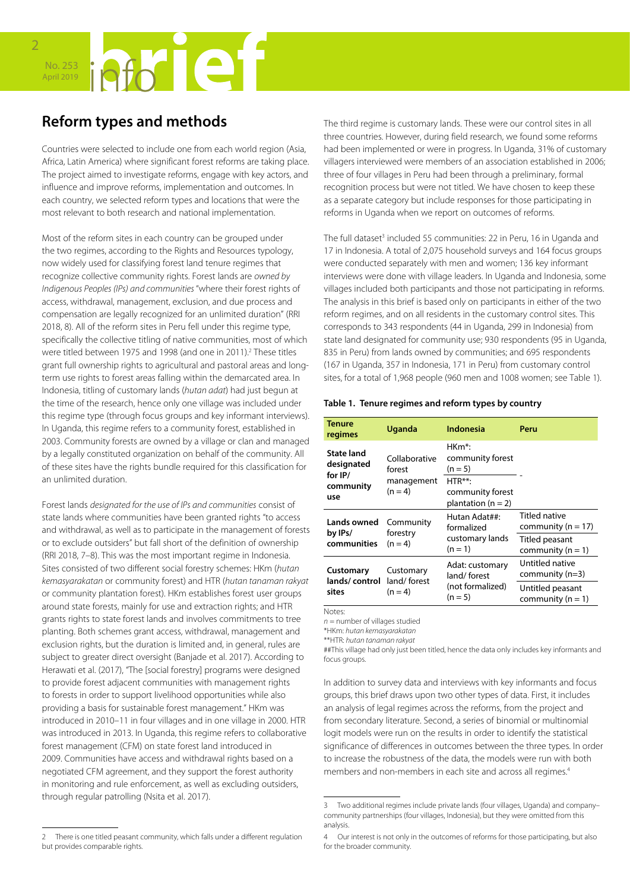

## **Reform types and methods**

Countries were selected to include one from each world region (Asia, Africa, Latin America) where significant forest reforms are taking place. The project aimed to investigate reforms, engage with key actors, and influence and improve reforms, implementation and outcomes. In each country, we selected reform types and locations that were the most relevant to both research and national implementation.

Most of the reform sites in each country can be grouped under the two regimes, according to the Rights and Resources typology, now widely used for classifying forest land tenure regimes that recognize collective community rights. Forest lands are *owned by Indigenous Peoples (IPs) and communities* "where their forest rights of access, withdrawal, management, exclusion, and due process and compensation are legally recognized for an unlimited duration" (RRI 2018, 8). All of the reform sites in Peru fell under this regime type, specifically the collective titling of native communities, most of which were titled between 1975 and 1998 (and one in 2011).<sup>2</sup> These titles grant full ownership rights to agricultural and pastoral areas and longterm use rights to forest areas falling within the demarcated area. In Indonesia, titling of customary lands (*hutan adat*) had just begun at the time of the research, hence only one village was included under this regime type (through focus groups and key informant interviews). In Uganda, this regime refers to a community forest, established in 2003. Community forests are owned by a village or clan and managed by a legally constituted organization on behalf of the community. All of these sites have the rights bundle required for this classification for an unlimited duration.

Forest lands *designated for the use of IPs and communities* consist of state lands where communities have been granted rights "to access and withdrawal, as well as to participate in the management of forests or to exclude outsiders" but fall short of the definition of ownership (RRI 2018, 7–8). This was the most important regime in Indonesia. Sites consisted of two different social forestry schemes: HKm (*hutan kemasyarakatan* or community forest) and HTR (*hutan tanaman rakyat* or community plantation forest). HKm establishes forest user groups around state forests, mainly for use and extraction rights; and HTR grants rights to state forest lands and involves commitments to tree planting. Both schemes grant access, withdrawal, management and exclusion rights, but the duration is limited and, in general, rules are subject to greater direct oversight (Banjade et al. 2017). According to Herawati et al. (2017), "The [social forestry] programs were designed to provide forest adjacent communities with management rights to forests in order to support livelihood opportunities while also providing a basis for sustainable forest management." HKm was introduced in 2010–11 in four villages and in one village in 2000. HTR was introduced in 2013. In Uganda, this regime refers to collaborative forest management (CFM) on state forest land introduced in 2009. Communities have access and withdrawal rights based on a negotiated CFM agreement, and they support the forest authority in monitoring and rule enforcement, as well as excluding outsiders, through regular patrolling (Nsita et al. 2017).

2 There is one titled peasant community, which falls under a different regulation but provides comparable rights.

The third regime is customary lands. These were our control sites in all three countries. However, during field research, we found some reforms had been implemented or were in progress. In Uganda, 31% of customary villagers interviewed were members of an association established in 2006; three of four villages in Peru had been through a preliminary, formal recognition process but were not titled. We have chosen to keep these as a separate category but include responses for those participating in reforms in Uganda when we report on outcomes of reforms.

The full dataset<sup>3</sup> included 55 communities: 22 in Peru, 16 in Uganda and 17 in Indonesia. A total of 2,075 household surveys and 164 focus groups were conducted separately with men and women; 136 key informant interviews were done with village leaders. In Uganda and Indonesia, some villages included both participants and those not participating in reforms. The analysis in this brief is based only on participants in either of the two reform regimes, and on all residents in the customary control sites. This corresponds to 343 respondents (44 in Uganda, 299 in Indonesia) from state land designated for community use; 930 respondents (95 in Uganda, 835 in Peru) from lands owned by communities; and 695 respondents (167 in Uganda, 357 in Indonesia, 171 in Peru) from customary control sites, for a total of 1,968 people (960 men and 1008 women; see Table 1).

#### **Table 1. Tenure regimes and reform types by country**

| <b>Tenure</b><br>regimes                                       | Uganda                                             | Indonesia                                                                                                     | Peru                                                                                      |  |
|----------------------------------------------------------------|----------------------------------------------------|---------------------------------------------------------------------------------------------------------------|-------------------------------------------------------------------------------------------|--|
| <b>State land</b><br>designated<br>for IP/<br>community<br>use | Collaborative<br>forest<br>management<br>$(n = 4)$ | HKm <sup>*</sup> :<br>community forest<br>$(n = 5)$<br>$HTR***$<br>community forest<br>plantation ( $n = 2$ ) |                                                                                           |  |
| Lands owned<br>by IPs/<br>communities                          | Community<br>forestry<br>$(n = 4)$                 | Hutan Adat##:<br>formalized<br>customary lands<br>$(n = 1)$                                                   | <b>Titled native</b><br>community ( $n = 17$ )<br>Titled peasant<br>community ( $n = 1$ ) |  |
| Customary<br>lands/control<br>sites                            | Customary<br>land/forest<br>$(n = 4)$              | Adat: customary<br>land/forest<br>(not formalized)                                                            | Untitled native<br>community $(n=3)$<br>Untitled peasant                                  |  |
| Notes <sup>.</sup>                                             |                                                    | $(n = 5)$                                                                                                     | community ( $n = 1$ )                                                                     |  |

 $n =$  number of villages studied

\*HKm: *hutan kemasyarakatan*

\*\*HTR: *hutan tanaman rakyat*

##This village had only just been titled, hence the data only includes key informants and focus groups.

In addition to survey data and interviews with key informants and focus groups, this brief draws upon two other types of data. First, it includes an analysis of legal regimes across the reforms, from the project and from secondary literature. Second, a series of binomial or multinomial logit models were run on the results in order to identify the statistical significance of differences in outcomes between the three types. In order to increase the robustness of the data, the models were run with both members and non-members in each site and across all regimes.<sup>4</sup>

<sup>3</sup> Two additional regimes include private lands (four villages, Uganda) and company– community partnerships (four villages, Indonesia), but they were omitted from this analysis.

<sup>4</sup> Our interest is not only in the outcomes of reforms for those participating, but also for the broader community.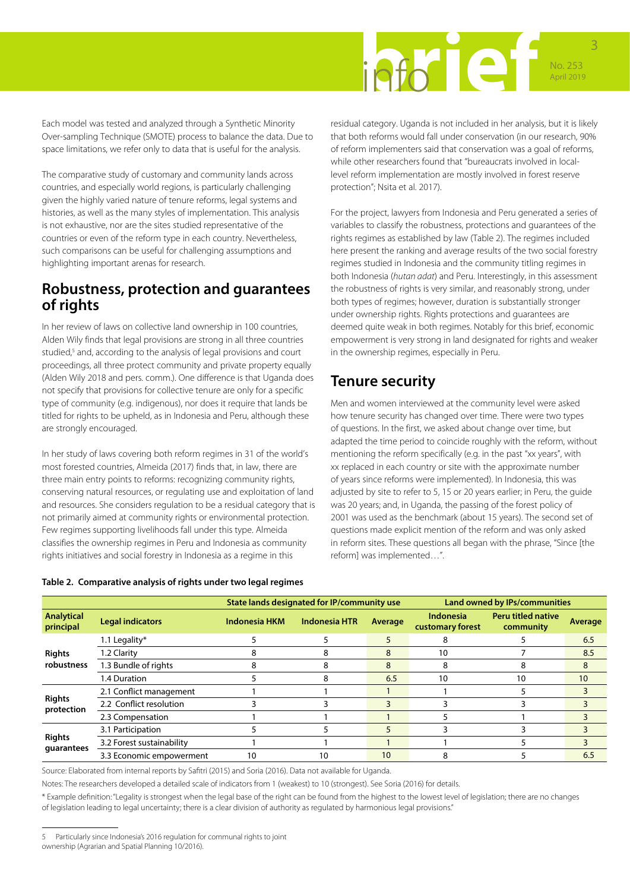

Each model was tested and analyzed through a Synthetic Minority Over-sampling Technique (SMOTE) process to balance the data. Due to space limitations, we refer only to data that is useful for the analysis.

The comparative study of customary and community lands across countries, and especially world regions, is particularly challenging given the highly varied nature of tenure reforms, legal systems and histories, as well as the many styles of implementation. This analysis is not exhaustive, nor are the sites studied representative of the countries or even of the reform type in each country. Nevertheless, such comparisons can be useful for challenging assumptions and highlighting important arenas for research.

### **Robustness, protection and guarantees of rights**

In her review of laws on collective land ownership in 100 countries, Alden Wily finds that legal provisions are strong in all three countries studied,<sup>5</sup> and, according to the analysis of legal provisions and court proceedings, all three protect community and private property equally (Alden Wily 2018 and pers. comm.). One difference is that Uganda does not specify that provisions for collective tenure are only for a specific type of community (e.g. indigenous), nor does it require that lands be titled for rights to be upheld, as in Indonesia and Peru, although these are strongly encouraged.

In her study of laws covering both reform regimes in 31 of the world's most forested countries, Almeida (2017) finds that, in law, there are three main entry points to reforms: recognizing community rights, conserving natural resources, or regulating use and exploitation of land and resources. She considers regulation to be a residual category that is not primarily aimed at community rights or environmental protection. Few regimes supporting livelihoods fall under this type. Almeida classifies the ownership regimes in Peru and Indonesia as community rights initiatives and social forestry in Indonesia as a regime in this

|  | Table 2. Comparative analysis of rights under two legal regimes |  |  |  |  |
|--|-----------------------------------------------------------------|--|--|--|--|
|--|-----------------------------------------------------------------|--|--|--|--|

residual category. Uganda is not included in her analysis, but it is likely that both reforms would fall under conservation (in our research, 90% of reform implementers said that conservation was a goal of reforms, while other researchers found that "bureaucrats involved in locallevel reform implementation are mostly involved in forest reserve protection"; Nsita et al. 2017).

For the project, lawyers from Indonesia and Peru generated a series of variables to classify the robustness, protections and guarantees of the rights regimes as established by law (Table 2). The regimes included here present the ranking and average results of the two social forestry regimes studied in Indonesia and the community titling regimes in both Indonesia (*hutan adat*) and Peru. Interestingly, in this assessment the robustness of rights is very similar, and reasonably strong, under both types of regimes; however, duration is substantially stronger under ownership rights. Rights protections and guarantees are deemed quite weak in both regimes. Notably for this brief, economic empowerment is very strong in land designated for rights and weaker in the ownership regimes, especially in Peru.

### **Tenure security**

Men and women interviewed at the community level were asked how tenure security has changed over time. There were two types of questions. In the first, we asked about change over time, but adapted the time period to coincide roughly with the reform, without mentioning the reform specifically (e.g. in the past "xx years", with xx replaced in each country or site with the approximate number of years since reforms were implemented). In Indonesia, this was adjusted by site to refer to 5, 15 or 20 years earlier; in Peru, the guide was 20 years; and, in Uganda, the passing of the forest policy of 2001 was used as the benchmark (about 15 years). The second set of questions made explicit mention of the reform and was only asked in reform sites. These questions all began with the phrase, "Since [the reform] was implemented…".

|                                |                           | State lands designated for IP/community use |                      | <b>Land owned by IPs/communities</b> |                               |                                        |         |
|--------------------------------|---------------------------|---------------------------------------------|----------------------|--------------------------------------|-------------------------------|----------------------------------------|---------|
| <b>Analytical</b><br>principal | <b>Legal indicators</b>   | <b>Indonesia HKM</b>                        | <b>Indonesia HTR</b> | Average                              | Indonesia<br>customary forest | <b>Peru titled native</b><br>community | Average |
| <b>Rights</b><br>robustness    | 1.1 Legality $*$          |                                             |                      |                                      |                               |                                        | 6.5     |
|                                | 1.2 Clarity               |                                             | 8                    | 8                                    | 10                            |                                        | 8.5     |
|                                | 1.3 Bundle of rights      |                                             | 8                    | 8                                    |                               | 8                                      | 8       |
|                                | 1.4 Duration              |                                             | 8                    | 6.5                                  | 10                            | 10                                     | 10      |
| <b>Rights</b><br>protection    | 2.1 Conflict management   |                                             |                      |                                      |                               |                                        |         |
|                                | 2.2 Conflict resolution   |                                             |                      | ₹                                    |                               |                                        |         |
|                                | 2.3 Compensation          |                                             |                      |                                      |                               |                                        |         |
| <b>Rights</b><br>guarantees    | 3.1 Participation         |                                             |                      |                                      |                               |                                        |         |
|                                | 3.2 Forest sustainability |                                             |                      |                                      |                               |                                        |         |
|                                | 3.3 Economic empowerment  | 10                                          | 10                   | 10 <sup>°</sup>                      |                               |                                        | 6.5     |

Source: Elaborated from internal reports by Safitri (2015) and Soria (2016). Data not available for Uganda.

Notes: The researchers developed a detailed scale of indicators from 1 (weakest) to 10 (strongest). See Soria (2016) for details.

\* Example definition: "Legality is strongest when the legal base of the right can be found from the highest to the lowest level of legislation; there are no changes of legislation leading to legal uncertainty; there is a clear division of authority as regulated by harmonious legal provisions."

Particularly since Indonesia's 2016 regulation for communal rights to joint

ownership (Agrarian and Spatial Planning 10/2016).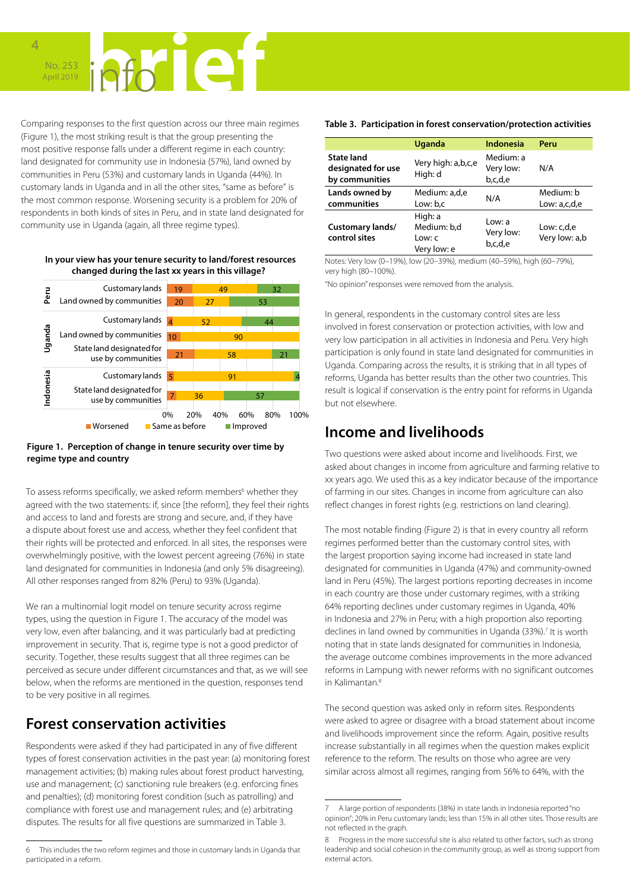

Comparing responses to the first question across our three main regimes (Figure 1), the most striking result is that the group presenting the most positive response falls under a different regime in each country: land designated for community use in Indonesia (57%), land owned by communities in Peru (53%) and customary lands in Uganda (44%). In customary lands in Uganda and in all the other sites, "same as before" is the most common response. Worsening security is a problem for 20% of respondents in both kinds of sites in Peru, and in state land designated for community use in Uganda (again, all three regime types).

# **changed during the last xx years in this village?**



#### **Figure 1. Perception of change in tenure security over time by regime type and country**

To assess reforms specifically, we asked reform members<sup>6</sup> whether they agreed with the two statements: if, since [the reform], they feel their rights and access to land and forests are strong and secure, and, if they have a dispute about forest use and access, whether they feel confident that their rights will be protected and enforced. In all sites, the responses were overwhelmingly positive, with the lowest percent agreeing (76%) in state land designated for communities in Indonesia (and only 5% disagreeing). All other responses ranged from 82% (Peru) to 93% (Uganda).

We ran a multinomial logit model on tenure security across regime types, using the question in Figure 1. The accuracy of the model was very low, even after balancing, and it was particularly bad at predicting improvement in security. That is, regime type is not a good predictor of security. Together, these results suggest that all three regimes can be perceived as secure under different circumstances and that, as we will see below, when the reforms are mentioned in the question, responses tend to be very positive in all regimes.

# **Forest conservation activities**

Respondents were asked if they had participated in any of five different types of forest conservation activities in the past year: (a) monitoring forest management activities; (b) making rules about forest product harvesting, use and management; (c) sanctioning rule breakers (e.g. enforcing fines and penalties); (d) monitoring forest condition (such as patrolling) and compliance with forest use and management rules; and (e) arbitrating disputes. The results for all five questions are summarized in Table 3.

#### **Table 3. Participation in forest conservation/protection activities**

|                                                           | <b>Uganda</b>                                   | Indonesia                         | Peru                        |
|-----------------------------------------------------------|-------------------------------------------------|-----------------------------------|-----------------------------|
| <b>State land</b><br>designated for use<br>by communities | Very high: a,b,c,e<br>High: d                   | Medium: a<br>Very low:<br>b,c,d,e | N/A                         |
| Lands owned by<br>communities                             | Medium: a,d,e<br>Low: b,c                       | N/A                               | Medium: b<br>Low: a,c,d,e   |
| <b>Customary lands/</b><br>control sites                  | High: a<br>Medium: b,d<br>Low: c<br>Very low: e | Low: a<br>Very low:<br>b,c,d,e    | Low: c,d,e<br>Very low: a,b |

Notes: Very low (0–19%), low (20–39%), medium (40–59%), high (60–79%), very high (80–100%).

"No opinion" responses were removed from the analysis.

In general, respondents in the customary control sites are less involved in forest conservation or protection activities, with low and very low participation in all activities in Indonesia and Peru. Very high participation is only found in state land designated for communities in Uganda. Comparing across the results, it is striking that in all types of reforms, Uganda has better results than the other two countries. This result is logical if conservation is the entry point for reforms in Uganda but not elsewhere.

### **Income and livelihoods**

Two questions were asked about income and livelihoods. First, we asked about changes in income from agriculture and farming relative to xx years ago. We used this as a key indicator because of the importance of farming in our sites. Changes in income from agriculture can also reflect changes in forest rights (e.g. restrictions on land clearing).

The most notable finding (Figure 2) is that in every country all reform regimes performed better than the customary control sites, with the largest proportion saying income had increased in state land designated for communities in Uganda (47%) and community-owned land in Peru (45%). The largest portions reporting decreases in income in each country are those under customary regimes, with a striking 64% reporting declines under customary regimes in Uganda, 40% in Indonesia and 27% in Peru; with a high proportion also reporting declines in land owned by communities in Uganda (33%).<sup>7</sup> It is worth noting that in state lands designated for communities in Indonesia, the average outcome combines improvements in the more advanced reforms in Lampung with newer reforms with no significant outcomes in Kalimantan.<sup>8</sup>

The second question was asked only in reform sites. Respondents were asked to agree or disagree with a broad statement about income and livelihoods improvement since the reform. Again, positive results increase substantially in all regimes when the question makes explicit reference to the reform. The results on those who agree are very similar across almost all regimes, ranging from 56% to 64%, with the

This includes the two reform regimes and those in customary lands in Uganda that participated in a reform.

<sup>7</sup> A large portion of respondents (38%) in state lands in Indonesia reported "no opinion"; 20% in Peru customary lands; less than 15% in all other sites. Those results are not reflected in the graph.

<sup>8</sup> Progress in the more successful site is also related to other factors, such as strong leadership and social cohesion in the community group, as well as strong support from external actors.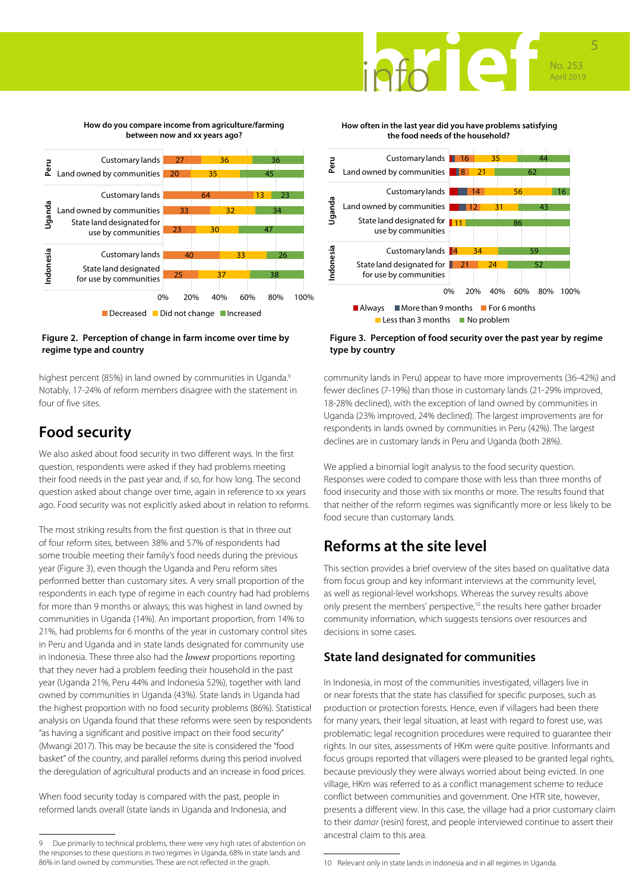# No. 253 April 2019 5



#### **How do you compare income from agriculture/farming between now and xx years ago?**

#### **Figure 2. Perception of change in farm income over time by regime type and country**

highest percent (85%) in land owned by communities in Uganda.<sup>9</sup> Notably, 17-24% of reform members disagree with the statement in four of five sites.

## **Food security**

We also asked about food security in two different ways. In the first question, respondents were asked if they had problems meeting their food needs in the past year and, if so, for how long. The second question asked about change over time, again in reference to xx years ago. Food security was not explicitly asked about in relation to reforms.

The most striking results from the first question is that in three out of four reform sites, between 38% and 57% of respondents had some trouble meeting their family's food needs during the previous year (Figure 3), even though the Uganda and Peru reform sites performed better than customary sites. A very small proportion of the respondents in each type of regime in each country had had problems for more than 9 months or always; this was highest in land owned by communities in Uganda (14%). An important proportion, from 14% to 21%, had problems for 6 months of the year in customary control sites in Peru and Uganda and in state lands designated for community use in Indonesia. These three also had the *lowest* proportions reporting that they never had a problem feeding their household in the past year (Uganda 21%, Peru 44% and Indonesia 52%), together with land owned by communities in Uganda (43%). State lands in Uganda had the highest proportion with no food security problems (86%). Statistical analysis on Uganda found that these reforms were seen by respondents "as having a significant and positive impact on their food security" (Mwangi 2017). This may be because the site is considered the "food basket" of the country, and parallel reforms during this period involved the deregulation of agricultural products and an increase in food prices.

When food security today is compared with the past, people in reformed lands overall (state lands in Uganda and Indonesia, and



**How often in the last year did you have problems satisfying the food needs of the household?** 

#### **Figure 3. Perception of food security over the past year by regime type by country**

community lands in Peru) appear to have more improvements (36-42%) and fewer declines (7-19%) than those in customary lands (21-29% improved, 18-28% declined), with the exception of land owned by communities in Uganda (23% improved, 24% declined). The largest improvements are for respondents in lands owned by communities in Peru (42%). The largest declines are in customary lands in Peru and Uganda (both 28%).

We applied a binomial logit analysis to the food security question. Responses were coded to compare those with less than three months of food insecurity and those with six months or more. The results found that that neither of the reform regimes was significantly more or less likely to be food secure than customary lands.

# **Reforms at the site level**

This section provides a brief overview of the sites based on qualitative data from focus group and key informant interviews at the community level, as well as regional-level workshops. Whereas the survey results above only present the members' perspective,10 the results here gather broader community information, which suggests tensions over resources and decisions in some cases.

### **State land designated for communities**

In Indonesia, in most of the communities investigated, villagers live in or near forests that the state has classified for specific purposes, such as production or protection forests. Hence, even if villagers had been there for many years, their legal situation, at least with regard to forest use, was problematic; legal recognition procedures were required to guarantee their rights. In our sites, assessments of HKm were quite positive. Informants and focus groups reported that villagers were pleased to be granted legal rights, because previously they were always worried about being evicted. In one village, HKm was referred to as a conflict management scheme to reduce conflict between communities and government. One HTR site, however, presents a different view. In this case, the village had a prior customary claim to their *damar* (resin) forest, and people interviewed continue to assert their ancestral claim to this area.

<sup>9</sup> Due primarily to technical problems, there were very high rates of abstention on the responses to these questions in two regimes in Uganda, 68% in state lands and 86% in land owned by communities. These are not reflected in the graph.

<sup>10</sup> Relevant only in state lands in Indonesia and in all regimes in Uganda.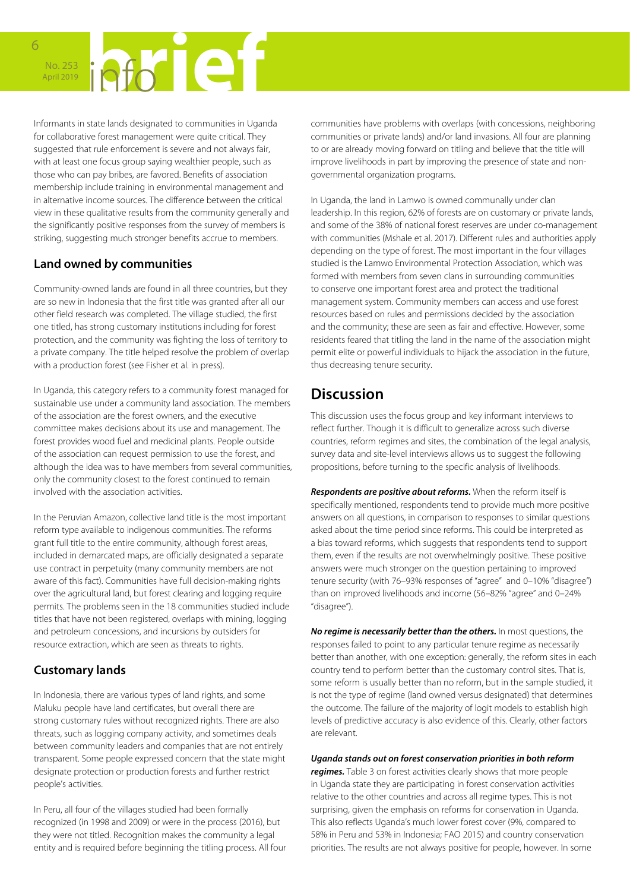

Informants in state lands designated to communities in Uganda for collaborative forest management were quite critical. They suggested that rule enforcement is severe and not always fair, with at least one focus group saying wealthier people, such as those who can pay bribes, are favored. Benefits of association membership include training in environmental management and in alternative income sources. The difference between the critical view in these qualitative results from the community generally and the significantly positive responses from the survey of members is striking, suggesting much stronger benefits accrue to members.

#### **Land owned by communities**

Community-owned lands are found in all three countries, but they are so new in Indonesia that the first title was granted after all our other field research was completed. The village studied, the first one titled, has strong customary institutions including for forest protection, and the community was fighting the loss of territory to a private company. The title helped resolve the problem of overlap with a production forest (see Fisher et al. in press).

In Uganda, this category refers to a community forest managed for sustainable use under a community land association. The members of the association are the forest owners, and the executive committee makes decisions about its use and management. The forest provides wood fuel and medicinal plants. People outside of the association can request permission to use the forest, and although the idea was to have members from several communities, only the community closest to the forest continued to remain involved with the association activities.

In the Peruvian Amazon, collective land title is the most important reform type available to indigenous communities. The reforms grant full title to the entire community, although forest areas, included in demarcated maps, are officially designated a separate use contract in perpetuity (many community members are not aware of this fact). Communities have full decision-making rights over the agricultural land, but forest clearing and logging require permits. The problems seen in the 18 communities studied include titles that have not been registered, overlaps with mining, logging and petroleum concessions, and incursions by outsiders for resource extraction, which are seen as threats to rights.

#### **Customary lands**

In Indonesia, there are various types of land rights, and some Maluku people have land certificates, but overall there are strong customary rules without recognized rights. There are also threats, such as logging company activity, and sometimes deals between community leaders and companies that are not entirely transparent. Some people expressed concern that the state might designate protection or production forests and further restrict people's activities.

In Peru, all four of the villages studied had been formally recognized (in 1998 and 2009) or were in the process (2016), but they were not titled. Recognition makes the community a legal entity and is required before beginning the titling process. All four communities have problems with overlaps (with concessions, neighboring communities or private lands) and/or land invasions. All four are planning to or are already moving forward on titling and believe that the title will improve livelihoods in part by improving the presence of state and nongovernmental organization programs.

In Uganda, the land in Lamwo is owned communally under clan leadership. In this region, 62% of forests are on customary or private lands, and some of the 38% of national forest reserves are under co-management with communities (Mshale et al. 2017). Different rules and authorities apply depending on the type of forest. The most important in the four villages studied is the Lamwo Environmental Protection Association, which was formed with members from seven clans in surrounding communities to conserve one important forest area and protect the traditional management system. Community members can access and use forest resources based on rules and permissions decided by the association and the community; these are seen as fair and effective. However, some residents feared that titling the land in the name of the association might permit elite or powerful individuals to hijack the association in the future, thus decreasing tenure security.

### **Discussion**

This discussion uses the focus group and key informant interviews to reflect further. Though it is difficult to generalize across such diverse countries, reform regimes and sites, the combination of the legal analysis, survey data and site-level interviews allows us to suggest the following propositions, before turning to the specific analysis of livelihoods.

*Respondents are positive about reforms.* When the reform itself is specifically mentioned, respondents tend to provide much more positive answers on all questions, in comparison to responses to similar questions asked about the time period since reforms. This could be interpreted as a bias toward reforms, which suggests that respondents tend to support them, even if the results are not overwhelmingly positive. These positive answers were much stronger on the question pertaining to improved tenure security (with 76–93% responses of "agree" and 0–10% "disagree") than on improved livelihoods and income (56–82% "agree" and 0–24% "disagree").

*No regime is necessarily better than the others.* In most questions, the responses failed to point to any particular tenure regime as necessarily better than another, with one exception: generally, the reform sites in each country tend to perform better than the customary control sites. That is, some reform is usually better than no reform, but in the sample studied, it is not the type of regime (land owned versus designated) that determines the outcome. The failure of the majority of logit models to establish high levels of predictive accuracy is also evidence of this. Clearly, other factors are relevant.

#### *Uganda stands out on forest conservation priorities in both reform*

*regimes.* Table 3 on forest activities clearly shows that more people in Uganda state they are participating in forest conservation activities relative to the other countries and across all regime types. This is not surprising, given the emphasis on reforms for conservation in Uganda. This also reflects Uganda's much lower forest cover (9%, compared to 58% in Peru and 53% in Indonesia; FAO 2015) and country conservation priorities. The results are not always positive for people, however. In some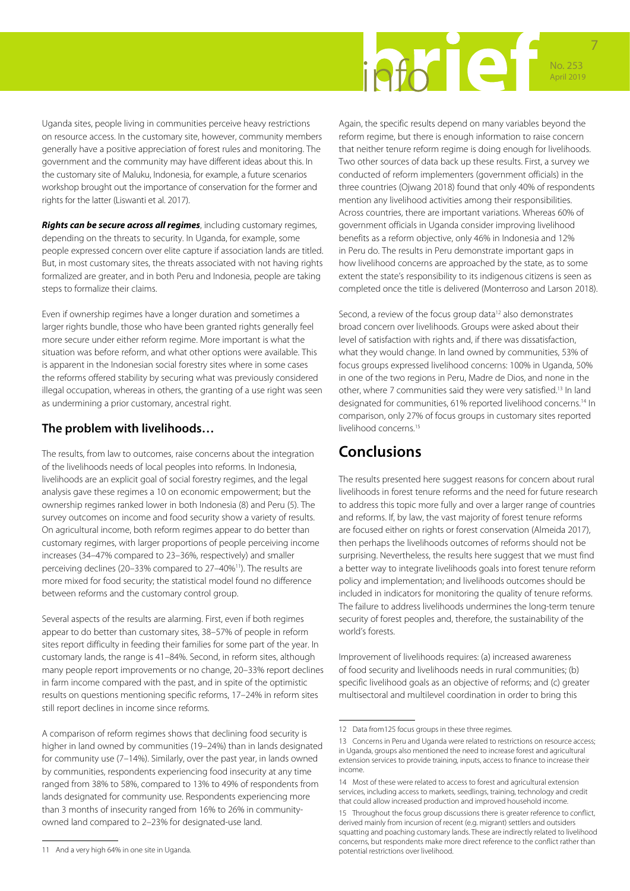

Uganda sites, people living in communities perceive heavy restrictions on resource access. In the customary site, however, community members generally have a positive appreciation of forest rules and monitoring. The government and the community may have different ideas about this. In the customary site of Maluku, Indonesia, for example, a future scenarios workshop brought out the importance of conservation for the former and rights for the latter (Liswanti et al. 2017).

*Rights can be secure across all regimes*, including customary regimes, depending on the threats to security. In Uganda, for example, some people expressed concern over elite capture if association lands are titled. But, in most customary sites, the threats associated with not having rights formalized are greater, and in both Peru and Indonesia, people are taking steps to formalize their claims.

Even if ownership regimes have a longer duration and sometimes a larger rights bundle, those who have been granted rights generally feel more secure under either reform regime. More important is what the situation was before reform, and what other options were available. This is apparent in the Indonesian social forestry sites where in some cases the reforms offered stability by securing what was previously considered illegal occupation, whereas in others, the granting of a use right was seen as undermining a prior customary, ancestral right.

#### **The problem with livelihoods…**

The results, from law to outcomes, raise concerns about the integration of the livelihoods needs of local peoples into reforms. In Indonesia, livelihoods are an explicit goal of social forestry regimes, and the legal analysis gave these regimes a 10 on economic empowerment; but the ownership regimes ranked lower in both Indonesia (8) and Peru (5). The survey outcomes on income and food security show a variety of results. On agricultural income, both reform regimes appear to do better than customary regimes, with larger proportions of people perceiving income increases (34–47% compared to 23–36%, respectively) and smaller perceiving declines (20-33% compared to 27-40%<sup>11</sup>). The results are more mixed for food security; the statistical model found no difference between reforms and the customary control group.

Several aspects of the results are alarming. First, even if both regimes appear to do better than customary sites, 38–57% of people in reform sites report difficulty in feeding their families for some part of the year. In customary lands, the range is 41–84%. Second, in reform sites, although many people report improvements or no change, 20–33% report declines in farm income compared with the past, and in spite of the optimistic results on questions mentioning specific reforms, 17–24% in reform sites still report declines in income since reforms.

A comparison of reform regimes shows that declining food security is higher in land owned by communities (19–24%) than in lands designated for community use (7–14%). Similarly, over the past year, in lands owned by communities, respondents experiencing food insecurity at any time ranged from 38% to 58%, compared to 13% to 49% of respondents from lands designated for community use. Respondents experiencing more than 3 months of insecurity ranged from 16% to 26% in communityowned land compared to 2–23% for designated-use land.

Again, the specific results depend on many variables beyond the reform regime, but there is enough information to raise concern that neither tenure reform regime is doing enough for livelihoods. Two other sources of data back up these results. First, a survey we conducted of reform implementers (government officials) in the three countries (Ojwang 2018) found that only 40% of respondents mention any livelihood activities among their responsibilities. Across countries, there are important variations. Whereas 60% of government officials in Uganda consider improving livelihood benefits as a reform objective, only 46% in Indonesia and 12% in Peru do. The results in Peru demonstrate important gaps in how livelihood concerns are approached by the state, as to some extent the state's responsibility to its indigenous citizens is seen as completed once the title is delivered (Monterroso and Larson 2018).

Second, a review of the focus group data<sup>12</sup> also demonstrates broad concern over livelihoods. Groups were asked about their level of satisfaction with rights and, if there was dissatisfaction, what they would change. In land owned by communities, 53% of focus groups expressed livelihood concerns: 100% in Uganda, 50% in one of the two regions in Peru, Madre de Dios, and none in the other, where 7 communities said they were very satisfied.13 In land designated for communities, 61% reported livelihood concerns.14 In comparison, only 27% of focus groups in customary sites reported livelihood concerns.15

## **Conclusions**

The results presented here suggest reasons for concern about rural livelihoods in forest tenure reforms and the need for future research to address this topic more fully and over a larger range of countries and reforms. If, by law, the vast majority of forest tenure reforms are focused either on rights or forest conservation (Almeida 2017), then perhaps the livelihoods outcomes of reforms should not be surprising. Nevertheless, the results here suggest that we must find a better way to integrate livelihoods goals into forest tenure reform policy and implementation; and livelihoods outcomes should be included in indicators for monitoring the quality of tenure reforms. The failure to address livelihoods undermines the long-term tenure security of forest peoples and, therefore, the sustainability of the world's forests.

Improvement of livelihoods requires: (a) increased awareness of food security and livelihoods needs in rural communities; (b) specific livelihood goals as an objective of reforms; and (c) greater multisectoral and multilevel coordination in order to bring this

<sup>11</sup> And a very high 64% in one site in Uganda.

<sup>12</sup> Data from125 focus groups in these three regimes.

<sup>13</sup> Concerns in Peru and Uganda were related to restrictions on resource access; in Uganda, groups also mentioned the need to increase forest and agricultural extension services to provide training, inputs, access to finance to increase their income.

<sup>14</sup> Most of these were related to access to forest and agricultural extension services, including access to markets, seedlings, training, technology and credit that could allow increased production and improved household income.

<sup>15</sup> Throughout the focus group discussions there is greater reference to conflict, derived mainly from incursion of recent (e.g. migrant) settlers and outsiders squatting and poaching customary lands. These are indirectly related to livelihood concerns, but respondents make more direct reference to the conflict rather than potential restrictions over livelihood.